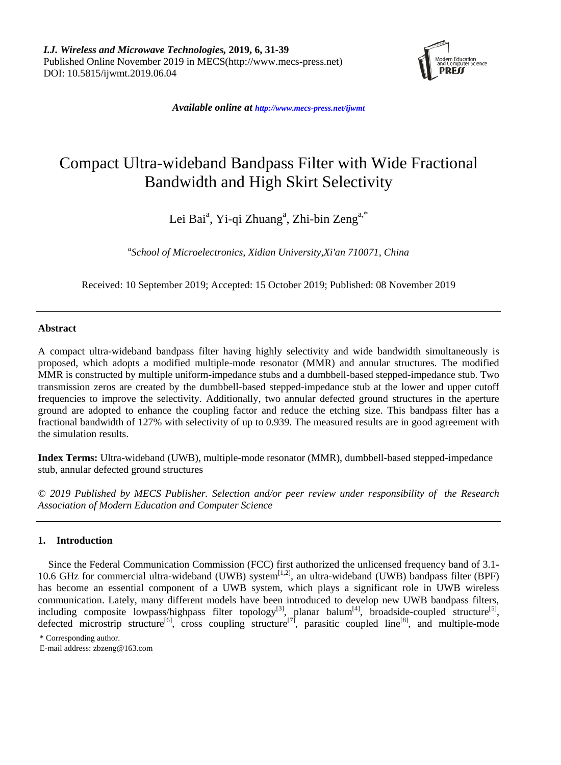

*Available online at <http://www.mecs-press.net/ijwmt>*

# Compact Ultra-wideband Bandpass Filter with Wide Fractional Bandwidth and High Skirt Selectivity

Lei Bai<sup>a</sup>, Yi-qi Zhuang<sup>a</sup>, Zhi-bin Zeng<sup>a,\*</sup>

*a School of Microelectronics, Xidian University,Xi'an 710071, China*

Received: 10 September 2019; Accepted: 15 October 2019; Published: 08 November 2019

# **Abstract**

A compact ultra-wideband bandpass filter having highly selectivity and wide bandwidth simultaneously is proposed, which adopts a modified multiple-mode resonator (MMR) and annular structures. The modified MMR is constructed by multiple uniform-impedance stubs and a dumbbell-based stepped-impedance stub. Two transmission zeros are created by the dumbbell-based stepped-impedance stub at the lower and upper cutoff frequencies to improve the selectivity. Additionally, two annular defected ground structures in the aperture ground are adopted to enhance the coupling factor and reduce the etching size. This bandpass filter has a fractional bandwidth of 127% with selectivity of up to 0.939. The measured results are in good agreement with the simulation results.

**Index Terms:** Ultra-wideband (UWB), multiple-mode resonator (MMR), dumbbell-based stepped-impedance stub, annular defected ground structures

*© 2019 Published by MECS Publisher. Selection and/or peer review under responsibility of the Research Association of Modern Education and Computer Science*

# **1. Introduction**

Since the Federal Communication Commission (FCC) first authorized the unlicensed frequency band of 3.1- 10.6 GHz for commercial ultra-wideband (UWB) system<sup>[\[1,](#page-6-0)[2\]](#page-6-1)</sup>, an ultra-wideband (UWB) bandpass filter (BPF) has become an essential component of a UWB system, which plays a significant role in UWB wireless communication. Lately, many different models have been introduced to develop new UWB bandpass filters, including composite lowpass/highpass filter topology<sup>[\[3\]](#page-6-2)</sup>, planar balum<sup>[\[4\]](#page-6-3)</sup>, broadside-coupled structure<sup>[\[5\]](#page-6-4)</sup>, defected microstrip structure<sup>[\[6\]](#page-6-5)</sup>, cross coupling structure<sup>[\[7\]](#page-6-6)</sup>, parasitic coupled line<sup>[\[8\]](#page-6-7)</sup>, and multiple-mode

<sup>\*</sup> Corresponding author.

E-mail address: zbzeng@163.com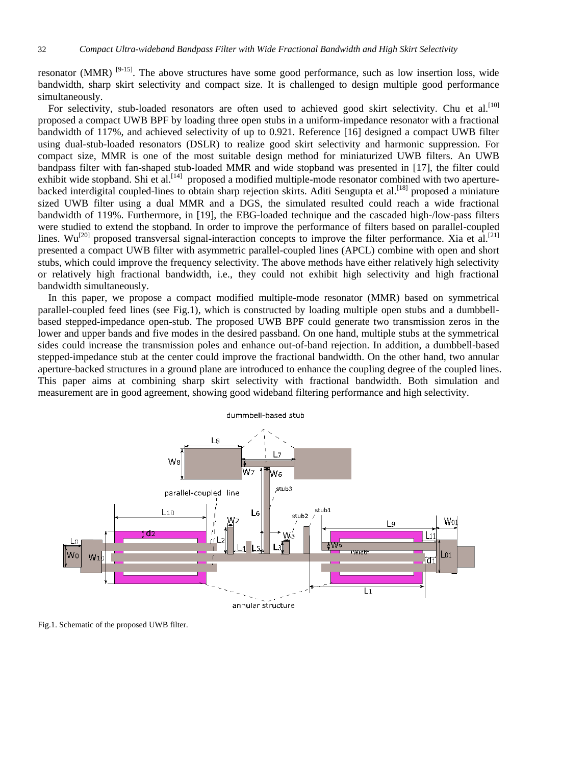resonator (MMR)  $[9-15]$ . The above structures have some good performance, such as low insertion loss, wide bandwidth, sharp skirt selectivity and compact size. It is challenged to design multiple good performance simultaneously.

For selectivity, stub-loaded resonators are often used to achieved good skirt selectivity. Chu et al.<sup>[10]</sup> proposed a compact UWB BPF by loading three open stubs in a uniform-impedance resonator with a fractional bandwidth of 117%, and achieved selectivity of up to 0.921. Reference [\[16\]](#page-7-0) designed a compact UWB filter using dual-stub-loaded resonators (DSLR) to realize good skirt selectivity and harmonic suppression. For compact size, MMR is one of the most suitable design method for miniaturized UWB filters. An UWB bandpass filter with fan-shaped stub-loaded MMR and wide stopband was presented in [\[17\]](#page-7-1), the filter could exhibit wide stopband. Shi et al.<sup>[\[14\]](#page-7-2)</sup> proposed a modified multiple-mode resonator combined with two aperturebacked interdigital coupled-lines to obtain sharp rejection skirts. Aditi Sengupta et al.<sup>[18]</sup> proposed a miniature sized UWB filter using a dual MMR and a DGS, the simulated resulted could reach a wide fractional bandwidth of 119%. Furthermore, in [19], the EBG-loaded technique and the cascaded high-/low-pass filters were studied to extend the stopband. In order to improve the performance of filters based on parallel-coupled lines.  $Wu^{[20]}$  proposed transversal signal-interaction concepts to improve the filter performance. Xia et al.<sup>[21]</sup> presented a compact UWB filter with asymmetric parallel-coupled lines (APCL) combine with open and short stubs, which could improve the frequency selectivity. The above methods have either relatively high selectivity or relatively high fractional bandwidth, i.e., they could not exhibit high selectivity and high fractional bandwidth simultaneously.

In this paper, we propose a compact modified multiple-mode resonator (MMR) based on symmetrical parallel-coupled feed lines (see Fig.1), which is constructed by loading multiple open stubs and a dumbbellbased stepped-impedance open-stub. The proposed UWB BPF could generate two transmission zeros in the lower and upper bands and five modes in the desired passband. On one hand, multiple stubs at the symmetrical sides could increase the transmission poles and enhance out-of-band rejection. In addition, a dumbbell-based stepped-impedance stub at the center could improve the fractional bandwidth. On the other hand, two annular aperture-backed structures in a ground plane are introduced to enhance the coupling degree of the coupled lines. This paper aims at combining sharp skirt selectivity with fractional bandwidth. Both simulation and measurement are in good agreement, showing good wideband filtering performance and high selectivity.



Fig.1. Schematic of the proposed UWB filter.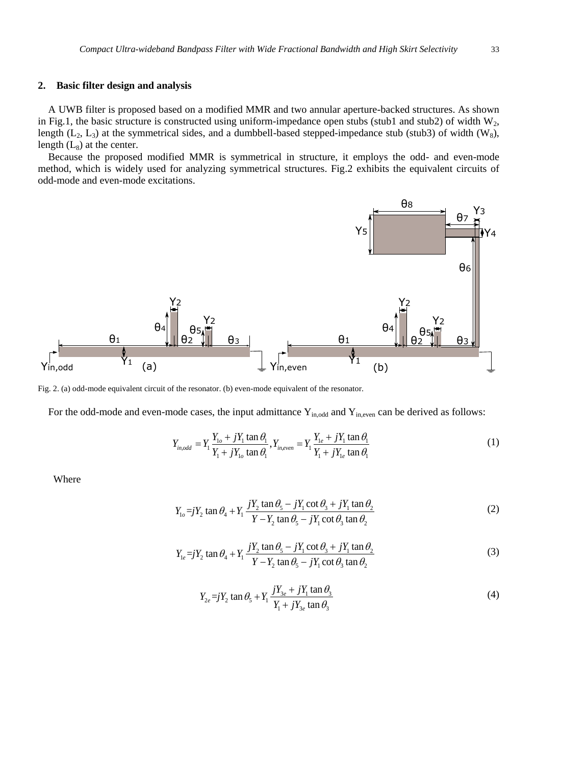## **2. Basic filter design and analysis**

A UWB filter is proposed based on a modified MMR and two annular aperture-backed structures. As shown in Fig.1, the basic structure is constructed using uniform-impedance open stubs (stub1 and stub2) of width  $W_2$ , length ( $L_2$ ,  $L_3$ ) at the symmetrical sides, and a dumbbell-based stepped-impedance stub (stub3) of width (W<sub>8</sub>), length  $(L_8)$  at the center.

Because the proposed modified MMR is symmetrical in structure, it employs the odd- and even-mode method, which is widely used for analyzing symmetrical structures. Fig.2 exhibits the equivalent circuits of odd-mode and even-mode excitations.



Fig. 2. (a) odd-mode equivalent circuit of the resonator. (b) even-mode equivalent of the resonator.

For the odd-mode and even-mode cases, the input admittance 
$$
Y_{in,odd}
$$
 and  $Y_{in,even}$  can be derived as follows:  
\n
$$
Y_{in,odd} = Y_1 \frac{Y_{1o} + jY_1 \tan \theta_1}{Y_1 + jY_{1o} \tan \theta_1}, Y_{in,even} = Y_1 \frac{Y_{1e} + jY_1 \tan \theta_1}{Y_1 + jY_{1e} \tan \theta_1}
$$
\n(1)

Where

$$
Y_{1o} = jY_2 \tan \theta_4 + Y_1 \frac{jY_2 \tan \theta_5 - jY_1 \cot \theta_3 + jY_1 \tan \theta_2}{Y - Y_2 \tan \theta_5 - jY_1 \cot \theta_3 \tan \theta_2}
$$
(2)

$$
Y_{1e} = jY_2 \tan \theta_4 + Y_1 \frac{jY_2 \tan \theta_5 - jY_1 \cot \theta_3 + jY_1 \tan \theta_2}{Y - Y_2 \tan \theta_5 - jY_1 \cot \theta_3 \tan \theta_2}
$$
(3)

$$
Y_{2e} = jY_2 \tan \theta_5 + Y_1 \frac{jY_{3e} + jY_1 \tan \theta_3}{Y_1 + jY_{3e} \tan \theta_3}
$$
 (4)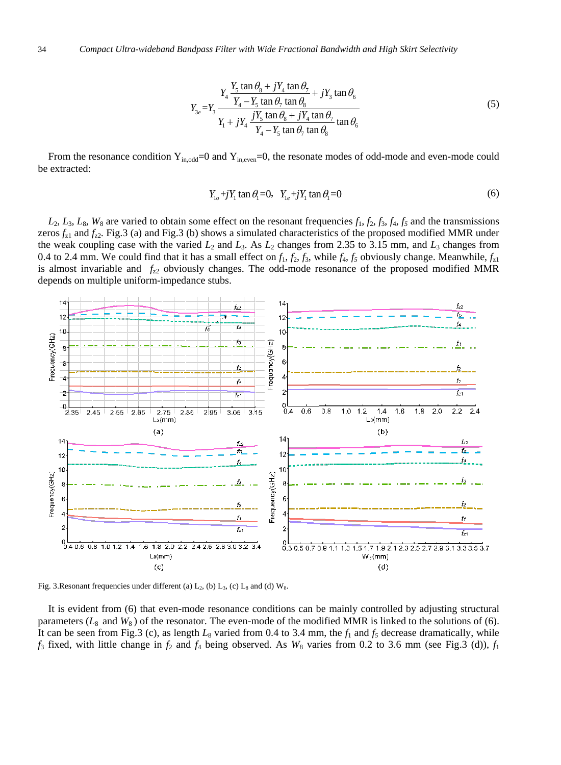$$
Y_3 = Y_4 \frac{Y_5 \tan \theta_8 + jY_4 \tan \theta_7}{Y_4 - Y_5 \tan \theta_7 \tan \theta_8} + jY_3 \tan \theta_6
$$
  

$$
Y_{3e} = Y_3 \frac{Y_4 - Y_5 \tan \theta_7 \tan \theta_8}{Y_4 - Y_5 \tan \theta_7 \tan \theta_8} + jY_4 \tan \theta_7 \tan \theta_6
$$
 (5)

From the resonance condition  $Y_{in,odd}=0$  and  $Y_{in,even}=0$ , the resonate modes of odd-mode and even-mode could be extracted:

$$
Y_{1o} + jY_1 \tan \theta_1 = 0, \quad Y_{1e} + jY_1 \tan \theta_1 = 0 \tag{6}
$$

 $L_2$ ,  $L_3$ ,  $L_8$ ,  $W_8$  are varied to obtain some effect on the resonant frequencies  $f_1$ ,  $f_2$ ,  $f_3$ ,  $f_4$ ,  $f_5$  and the transmissions zeros  $f_{z1}$  and  $f_{z2}$ . Fig.3 (a) and Fig.3 (b) shows a simulated characteristics of the proposed modified MMR under the weak coupling case with the varied  $L_2$  and  $L_3$ . As  $L_2$  changes from 2.35 to 3.15 mm, and  $L_3$  changes from 0.4 to 2.4 mm. We could find that it has a small effect on  $f_1$ ,  $f_2$ ,  $f_3$ , while  $f_4$ ,  $f_5$  obviously change. Meanwhile,  $f_{z1}$ is almost invariable and  $f_{z2}$  obviously changes. The odd-mode resonance of the proposed modified MMR depends on multiple uniform-impedance stubs.



Fig. 3.Resonant frequencies under different (a)  $L_2$ , (b)  $L_3$ , (c)  $L_8$  and (d)  $W_8$ .

It is evident from (6) that even-mode resonance conditions can be mainly controlled by adjusting structural parameters  $(L_8 \text{ and } W_8)$  of the resonator. The even-mode of the modified MMR is linked to the solutions of (6). It can be seen from Fig.3 (c), as length  $L_8$  varied from 0.4 to 3.4 mm, the  $f_1$  and  $f_5$  decrease dramatically, while  $f_3$  fixed, with little change in  $f_2$  and  $f_4$  being observed. As  $W_8$  varies from 0.2 to 3.6 mm (see Fig.3 (d)),  $f_1$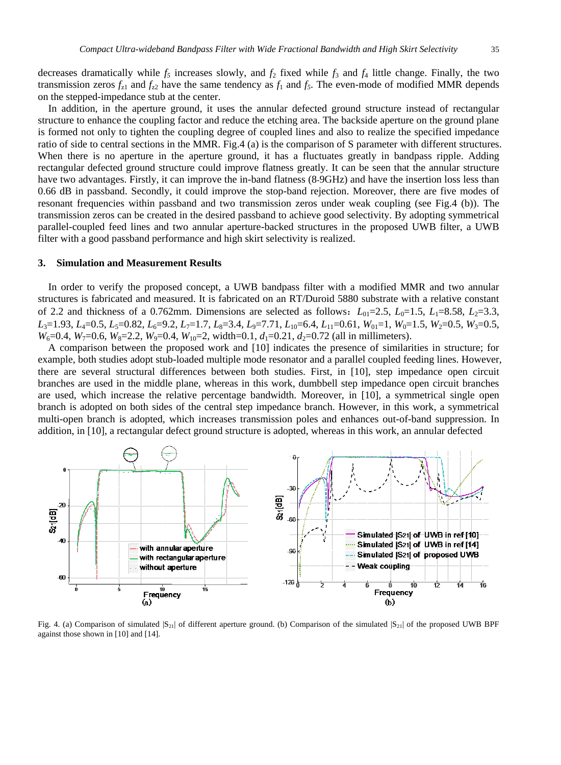decreases dramatically while  $f_5$  increases slowly, and  $f_2$  fixed while  $f_3$  and  $f_4$  little change. Finally, the two transmission zeros  $f_{z1}$  and  $f_{z2}$  have the same tendency as  $f_1$  and  $f_5$ . The even-mode of modified MMR depends on the stepped-impedance stub at the center.

In addition, in the aperture ground, it uses the annular defected ground structure instead of rectangular structure to enhance the coupling factor and reduce the etching area. The backside aperture on the ground plane is formed not only to tighten the coupling degree of coupled lines and also to realize the specified impedance ratio of side to central sections in the MMR. Fig.4 (a) is the comparison of S parameter with different structures. When there is no aperture in the aperture ground, it has a fluctuates greatly in bandpass ripple. Adding rectangular defected ground structure could improve flatness greatly. It can be seen that the annular structure have two advantages. Firstly, it can improve the in-band flatness (8-9GHz) and have the insertion loss less than 0.66 dB in passband. Secondly, it could improve the stop-band rejection. Moreover, there are five modes of resonant frequencies within passband and two transmission zeros under weak coupling (see Fig.4 (b)). The transmission zeros can be created in the desired passband to achieve good selectivity. By adopting symmetrical parallel-coupled feed lines and two annular aperture-backed structures in the proposed UWB filter, a UWB filter with a good passband performance and high skirt selectivity is realized.

#### **3. Simulation and Measurement Results**

In order to verify the proposed concept, a UWB bandpass filter with a modified MMR and two annular structures is fabricated and measured. It is fabricated on an RT/Duroid 5880 substrate with a relative constant of 2.2 and thickness of a 0.762mm. Dimensions are selected as follows:  $L_{01}=2.5$ ,  $L_{0}=1.5$ ,  $L_{1}=8.58$ ,  $L_{2}=3.3$ , *L*<sub>3</sub>=1.93, *L*<sub>4</sub>=0.5, *L*<sub>5</sub>=0.82, *L*<sub>6</sub>=9.2, *L*<sub>7</sub>=1.7, *L*<sub>8</sub>=3.4, *L*<sub>9</sub>=7.71, *L*<sub>10</sub>=6.4, *L*<sub>11</sub>=0.61, *W*<sub>01</sub>=1, *W*<sub>0</sub>=1.5, *W*<sub>2</sub>=0.5, *W*<sub>3</sub>=0.5,  $W_6$ =0.4,  $W_7$ =0.6,  $W_8$ =2.2,  $W_9$ =0.4,  $W_{10}$ =2, width=0.1,  $d_1$ =0.21,  $d_2$ =0.72 (all in millimeters).

A comparison between the proposed work and [10] indicates the presence of similarities in structure; for example, both studies adopt stub-loaded multiple mode resonator and a parallel coupled feeding lines. However, there are several structural differences between both studies. First, in [10], step impedance open circuit branches are used in the middle plane, whereas in this work, dumbbell step impedance open circuit branches are used, which increase the relative percentage bandwidth. Moreover, in [10], a symmetrical single open branch is adopted on both sides of the central step impedance branch. However, in this work, a symmetrical multi-open branch is adopted, which increases transmission poles and enhances out-of-band suppression. In addition, in [10], a rectangular defect ground structure is adopted, whereas in this work, an annular defected



Fig. 4. (a) Comparison of simulated  $|S_{21}|$  of different aperture ground. (b) Comparison of the simulated  $|S_{21}|$  of the proposed UWB BPF against those shown in [10] and [14].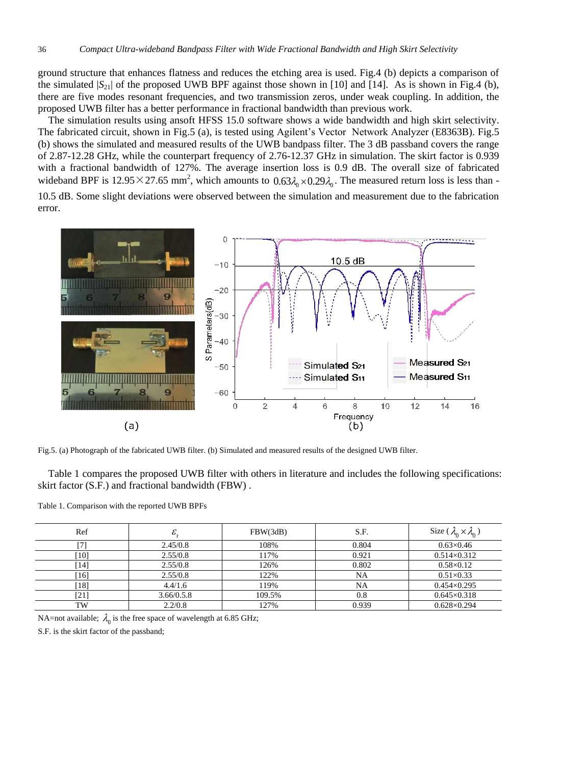ground structure that enhances flatness and reduces the etching area is used. Fig.4 (b) depicts a comparison of the simulated  $|S_{21}|$  of the proposed UWB BPF against those shown in [10] and [14]. As is shown in Fig.4 (b), there are five modes resonant frequencies, and two transmission zeros, under weak coupling. In addition, the proposed UWB filter has a better performance in fractional bandwidth than previous work.

The simulation results using ansoft HFSS 15.0 software shows a wide bandwidth and high skirt selectivity. The fabricated circuit, shown in Fig.5 (a), is tested using Agilent's Vector Network Analyzer (E8363B). Fig.5 (b) shows the simulated and measured results of the UWB bandpass filter. The 3 dB passband covers the range of 2.87-12.28 GHz, while the counterpart frequency of 2.76-12.37 GHz in simulation. The skirt factor is 0.939 with a fractional bandwidth of 127%. The average insertion loss is 0.9 dB. The overall size of fabricated wideband BPF is  $12.95 \times 27.65$  mm<sup>2</sup>, which amounts to  $0.63 \lambda_0 \times 0.29 \lambda_0$ . The measured return loss is less than -

10.5 dB. Some slight deviations were observed between the simulation and measurement due to the fabrication error.



Fig.5. (a) Photograph of the fabricated UWB filter. (b) Simulated and measured results of the designed UWB filter.

Table 1 compares the proposed UWB filter with others in literature and includes the following specifications: skirt factor (S.F.) and fractional bandwidth (FBW) .

|  |  |  |  | Table 1. Comparison with the reported UWB BPFs |  |
|--|--|--|--|------------------------------------------------|--|
|--|--|--|--|------------------------------------------------|--|

| Ref                | ε.         | FBW(3dB) | S.F.  | Size ( $\lambda_0 \times \lambda_0$ ) |
|--------------------|------------|----------|-------|---------------------------------------|
|                    | 2.45/0.8   | 108%     | 0.804 | $0.63 \times 0.46$                    |
| $\lceil 10 \rceil$ | 2.55/0.8   | 117%     | 0.921 | $0.514 \times 0.312$                  |
| 141                | 2.55/0.8   | 126%     | 0.802 | $0.58 \times 0.12$                    |
| [16]               | 2.55/0.8   | 122%     | NA    | $0.51 \times 0.33$                    |
| $18$ ]             | 4.4/1.6    | 119%     | NA    | $0.454 \times 0.295$                  |
| [21]               | 3.66/0.5.8 | 109.5%   | 0.8   | $0.645 \times 0.318$                  |
| TW                 | 2.2/0.8    | 127%     | 0.939 | $0.628 \times 0.294$                  |

NA=not available;  $\lambda_0$  is the free space of wavelength at 6.85 GHz;

S.F. is the skirt factor of the passband;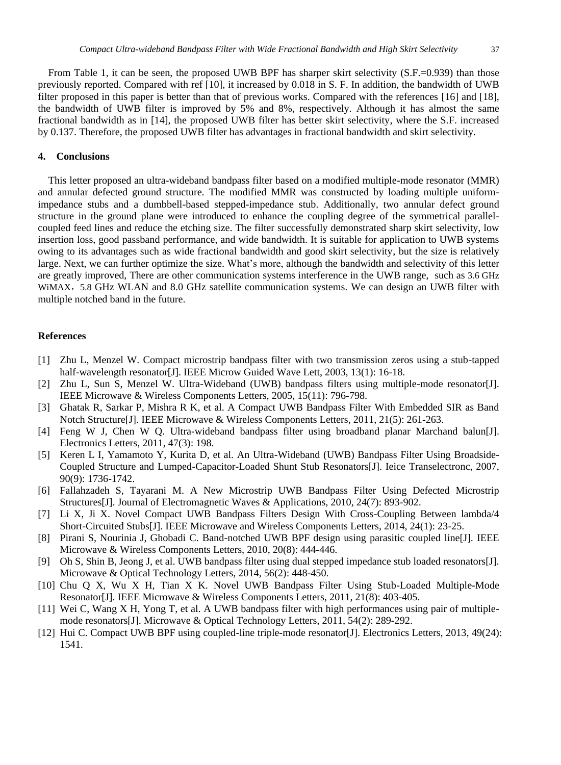From Table 1, it can be seen, the proposed UWB BPF has sharper skirt selectivity  $(S.F. = 0.939)$  than those previously reported. Compared with ref [10], it increased by 0.018 in S. F. In addition, the bandwidth of UWB filter proposed in this paper is better than that of previous works. Compared with the references [16] and [18], the bandwidth of UWB filter is improved by 5% and 8%, respectively. Although it has almost the same fractional bandwidth as in [14], the proposed UWB filter has better skirt selectivity, where the S.F. increased by 0.137. Therefore, the proposed UWB filter has advantages in fractional bandwidth and skirt selectivity.

## **4. Conclusions**

This letter proposed an ultra-wideband bandpass filter based on a modified multiple-mode resonator (MMR) and annular defected ground structure. The modified MMR was constructed by loading multiple uniformimpedance stubs and a dumbbell-based stepped-impedance stub. Additionally, two annular defect ground structure in the ground plane were introduced to enhance the coupling degree of the symmetrical parallelcoupled feed lines and reduce the etching size. The filter successfully demonstrated sharp skirt selectivity, low insertion loss, good passband performance, and wide bandwidth. It is suitable for application to UWB systems owing to its advantages such as wide fractional bandwidth and good skirt selectivity, but the size is relatively large. Next, we can further optimize the size. What's more, although the bandwidth and selectivity of this letter are greatly improved, There are other communication systems interference in the UWB range, such as 3.6 GHz WiMAX, 5.8 GHz WLAN and 8.0 GHz satellite communication systems. We can design an UWB filter with multiple notched band in the future.

#### **References**

- <span id="page-6-0"></span>[1] Zhu L, Menzel W. Compact microstrip bandpass filter with two transmission zeros using a stub-tapped half-wavelength resonator[J]. IEEE Microw Guided Wave Lett, 2003, 13(1): 16-18.
- <span id="page-6-1"></span>[2] Zhu L, Sun S, Menzel W. Ultra-Wideband (UWB) bandpass filters using multiple-mode resonator[J]. IEEE Microwave & Wireless Components Letters, 2005, 15(11): 796-798.
- <span id="page-6-2"></span>[3] Ghatak R, Sarkar P, Mishra R K, et al. A Compact UWB Bandpass Filter With Embedded SIR as Band Notch Structure[J]. IEEE Microwave & Wireless Components Letters, 2011, 21(5): 261-263.
- <span id="page-6-3"></span>[4] Feng W J, Chen W Q. Ultra-wideband bandpass filter using broadband planar Marchand balun[J]. Electronics Letters, 2011, 47(3): 198.
- <span id="page-6-4"></span>[5] Keren L I, Yamamoto Y, Kurita D, et al. An Ultra-Wideband (UWB) Bandpass Filter Using Broadside-Coupled Structure and Lumped-Capacitor-Loaded Shunt Stub Resonators[J]. Ieice Transelectronc, 2007, 90(9): 1736-1742.
- <span id="page-6-5"></span>[6] Fallahzadeh S, Tayarani M. A New Microstrip UWB Bandpass Filter Using Defected Microstrip Structures[J]. Journal of Electromagnetic Waves & Applications, 2010, 24(7): 893-902.
- <span id="page-6-6"></span>[7] Li X, Ji X. Novel Compact UWB Bandpass Filters Design With Cross-Coupling Between lambda/4 Short-Circuited Stubs[J]. IEEE Microwave and Wireless Components Letters, 2014, 24(1): 23-25.
- <span id="page-6-7"></span>[8] Pirani S, Nourinia J, Ghobadi C. Band-notched UWB BPF design using parasitic coupled line[J]. IEEE Microwave & Wireless Components Letters, 2010, 20(8): 444-446.
- <span id="page-6-8"></span>[9] Oh S, Shin B, Jeong J, et al. UWB bandpass filter using dual stepped impedance stub loaded resonators[J]. Microwave & Optical Technology Letters, 2014, 56(2): 448-450.
- <span id="page-6-9"></span>[10] Chu Q X, Wu X H, Tian X K. Novel UWB Bandpass Filter Using Stub-Loaded Multiple-Mode Resonator[J]. IEEE Microwave & Wireless Components Letters, 2011, 21(8): 403-405.
- [11] Wei C, Wang X H, Yong T, et al. A UWB bandpass filter with high performances using pair of multiplemode resonators[J]. Microwave & Optical Technology Letters, 2011, 54(2): 289-292.
- [12] Hui C. Compact UWB BPF using coupled-line triple-mode resonator[J]. Electronics Letters, 2013, 49(24): 1541.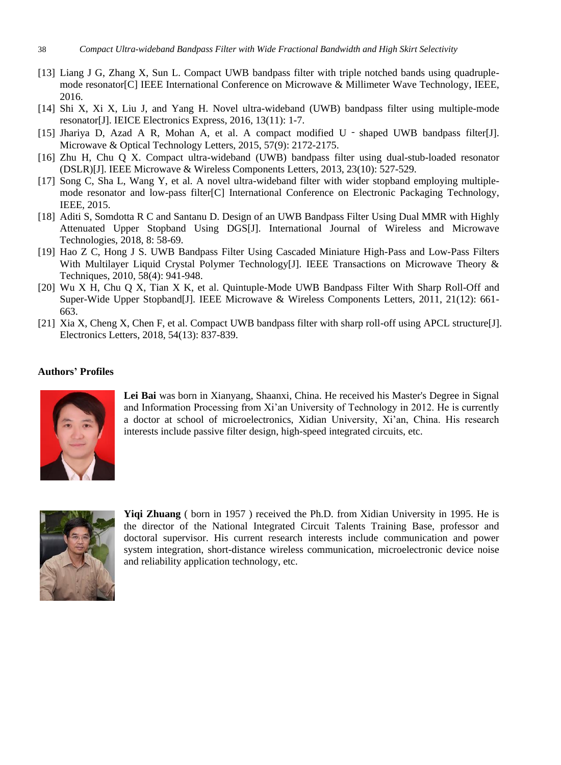- [13] Liang J G, Zhang X, Sun L. Compact UWB bandpass filter with triple notched bands using quadruplemode resonator[C] IEEE International Conference on Microwave & Millimeter Wave Technology, IEEE, 2016.
- <span id="page-7-2"></span>[14] Shi X, Xi X, Liu J, and Yang H. Novel ultra-wideband (UWB) bandpass filter using multiple-mode resonator[J]. IEICE Electronics Express, 2016, 13(11): 1-7.
- [15] Jhariya D, Azad A R, Mohan A, et al. A compact modified U shaped UWB bandpass filter[J]. Microwave & Optical Technology Letters, 2015, 57(9): 2172-2175.
- [16] Zhu H, Chu Q X. Compact ultra-wideband (UWB) bandpass filter using dual-stub-loaded resonator (DSLR)[J]. IEEE Microwave & Wireless Components Letters, 2013, 23(10): 527-529.
- <span id="page-7-1"></span>[17] Song C, Sha L, Wang Y, et al. A novel ultra-wideband filter with wider stopband employing multiplemode resonator and low-pass filter[C] International Conference on Electronic Packaging Technology, IEEE, 2015.
- <span id="page-7-0"></span>[18] Aditi S, Somdotta R C and Santanu D. Design of an UWB Bandpass Filter Using Dual MMR with Highly Attenuated Upper Stopband Using DGS[J]. International Journal of Wireless and Microwave Technologies, 2018, 8: 58-69.
- <span id="page-7-4"></span>[19] Hao Z C, Hong J S. UWB Bandpass Filter Using Cascaded Miniature High-Pass and Low-Pass Filters With Multilayer Liquid Crystal Polymer Technology[J]. IEEE Transactions on Microwave Theory & Techniques, 2010, 58(4): 941-948.
- <span id="page-7-3"></span>[20] Wu X H, Chu Q X, Tian X K, et al. Quintuple-Mode UWB Bandpass Filter With Sharp Roll-Off and Super-Wide Upper Stopband[J]. IEEE Microwave & Wireless Components Letters, 2011, 21(12): 661- 663.
- [21] Xia X, Cheng X, Chen F, et al. Compact UWB bandpass filter with sharp roll-off using APCL structure[J]. Electronics Letters, 2018, 54(13): 837-839.

## **Authors' Profiles**



**Lei Bai** was born in Xianyang, Shaanxi, China. He received his Master's Degree in Signal and Information Processing from Xi'an University of Technology in 2012. He is currently a doctor at school of microelectronics, Xidian University, Xi'an, China. His research interests include passive filter design, high-speed integrated circuits, etc.



**Yiqi Zhuang** ( born in 1957 ) received the Ph.D. from Xidian University in 1995. He is the director of the National Integrated Circuit Talents Training Base, professor and doctoral supervisor. His current research interests include communication and power system integration, short-distance wireless communication, microelectronic device noise and reliability application technology, etc.